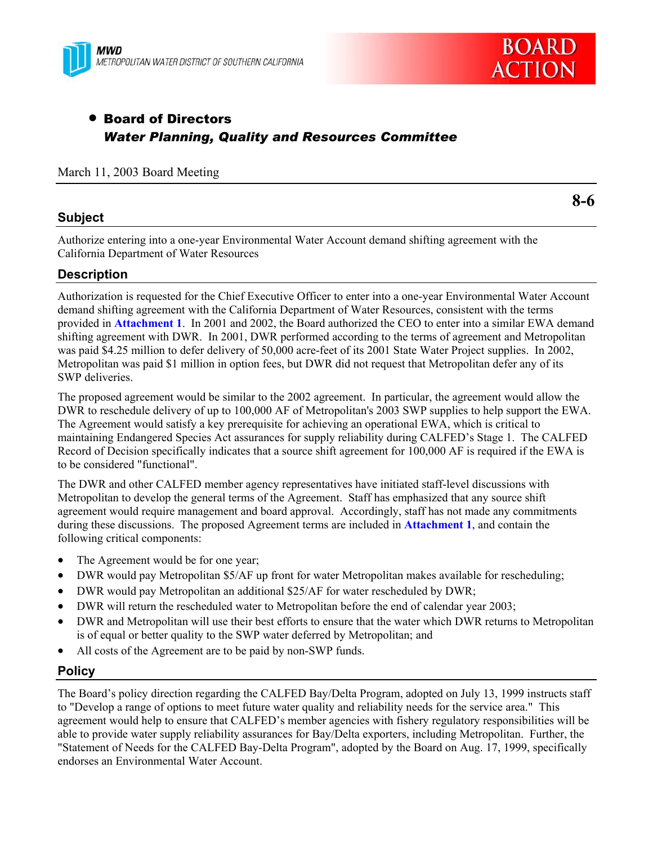



# **• Board of Directors** *Water Planning, Quality and Resources Committee*

### March 11, 2003 Board Meeting

## **Subject**

**8-6** 

Authorize entering into a one-year Environmental Water Account demand shifting agreement with the California Department of Water Resources

## **Description**

Authorization is requested for the Chief Executive Officer to enter into a one-year Environmental Water Account demand shifting agreement with the California Department of Water Resources, consistent with the terms provided in **Attachment 1**. In 2001 and 2002, the Board authorized the CEO to enter into a similar EWA demand shifting agreement with DWR. In 2001, DWR performed according to the terms of agreement and Metropolitan was paid \$4.25 million to defer delivery of 50,000 acre-feet of its 2001 State Water Project supplies. In 2002, Metropolitan was paid \$1 million in option fees, but DWR did not request that Metropolitan defer any of its SWP deliveries.

The proposed agreement would be similar to the 2002 agreement. In particular, the agreement would allow the DWR to reschedule delivery of up to 100,000 AF of Metropolitan's 2003 SWP supplies to help support the EWA. The Agreement would satisfy a key prerequisite for achieving an operational EWA, which is critical to maintaining Endangered Species Act assurances for supply reliability during CALFED's Stage 1. The CALFED Record of Decision specifically indicates that a source shift agreement for 100,000 AF is required if the EWA is to be considered "functional".

The DWR and other CALFED member agency representatives have initiated staff-level discussions with Metropolitan to develop the general terms of the Agreement. Staff has emphasized that any source shift agreement would require management and board approval. Accordingly, staff has not made any commitments during these discussions. The proposed Agreement terms are included in **Attachment 1**, and contain the following critical components:

- The Agreement would be for one year;
- DWR would pay Metropolitan \$5/AF up front for water Metropolitan makes available for rescheduling;
- DWR would pay Metropolitan an additional \$25/AF for water rescheduled by DWR;
- DWR will return the rescheduled water to Metropolitan before the end of calendar year 2003;
- DWR and Metropolitan will use their best efforts to ensure that the water which DWR returns to Metropolitan is of equal or better quality to the SWP water deferred by Metropolitan; and
- All costs of the Agreement are to be paid by non-SWP funds.

#### **Policy**

The Board's policy direction regarding the CALFED Bay/Delta Program, adopted on July 13, 1999 instructs staff to "Develop a range of options to meet future water quality and reliability needs for the service area." This agreement would help to ensure that CALFED's member agencies with fishery regulatory responsibilities will be able to provide water supply reliability assurances for Bay/Delta exporters, including Metropolitan. Further, the "Statement of Needs for the CALFED Bay-Delta Program", adopted by the Board on Aug. 17, 1999, specifically endorses an Environmental Water Account.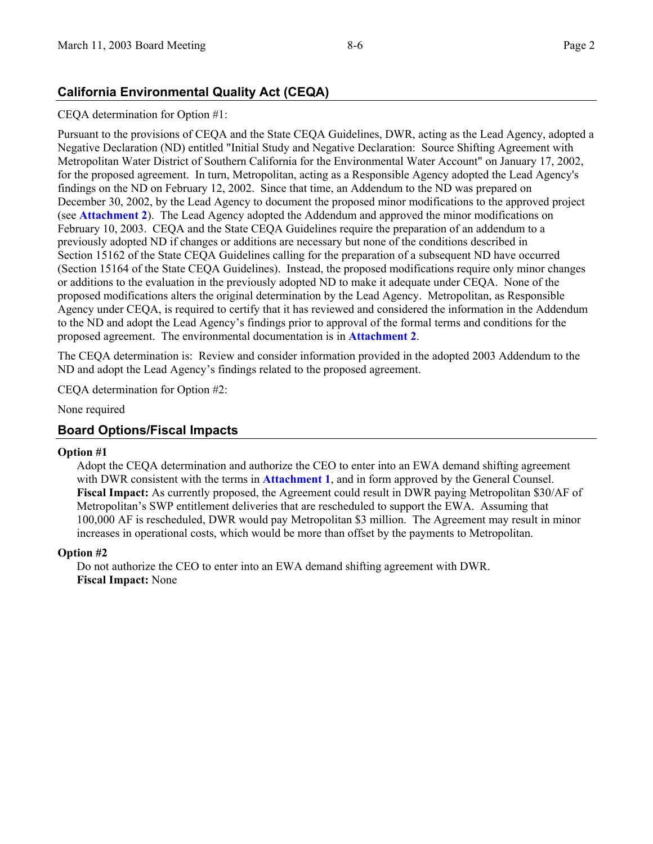# **California Environmental Quality Act (CEQA)**

### CEQA determination for Option #1:

Pursuant to the provisions of CEQA and the State CEQA Guidelines, DWR, acting as the Lead Agency, adopted a Negative Declaration (ND) entitled "Initial Study and Negative Declaration: Source Shifting Agreement with Metropolitan Water District of Southern California for the Environmental Water Account" on January 17, 2002, for the proposed agreement. In turn, Metropolitan, acting as a Responsible Agency adopted the Lead Agency's findings on the ND on February 12, 2002. Since that time, an Addendum to the ND was prepared on December 30, 2002, by the Lead Agency to document the proposed minor modifications to the approved project (see **Attachment 2**). The Lead Agency adopted the Addendum and approved the minor modifications on February 10, 2003. CEQA and the State CEQA Guidelines require the preparation of an addendum to a previously adopted ND if changes or additions are necessary but none of the conditions described in Section 15162 of the State CEQA Guidelines calling for the preparation of a subsequent ND have occurred (Section 15164 of the State CEQA Guidelines). Instead, the proposed modifications require only minor changes or additions to the evaluation in the previously adopted ND to make it adequate under CEQA. None of the proposed modifications alters the original determination by the Lead Agency. Metropolitan, as Responsible Agency under CEQA, is required to certify that it has reviewed and considered the information in the Addendum to the ND and adopt the Lead Agency's findings prior to approval of the formal terms and conditions for the proposed agreement. The environmental documentation is in **Attachment 2**.

The CEQA determination is: Review and consider information provided in the adopted 2003 Addendum to the ND and adopt the Lead Agency's findings related to the proposed agreement.

CEQA determination for Option #2:

None required

## **Board Options/Fiscal Impacts**

#### **Option #1**

Adopt the CEQA determination and authorize the CEO to enter into an EWA demand shifting agreement with DWR consistent with the terms in **Attachment 1**, and in form approved by the General Counsel. **Fiscal Impact:** As currently proposed, the Agreement could result in DWR paying Metropolitan \$30/AF of Metropolitan's SWP entitlement deliveries that are rescheduled to support the EWA. Assuming that 100,000 AF is rescheduled, DWR would pay Metropolitan \$3 million. The Agreement may result in minor increases in operational costs, which would be more than offset by the payments to Metropolitan.

#### **Option #2**

Do not authorize the CEO to enter into an EWA demand shifting agreement with DWR. **Fiscal Impact:** None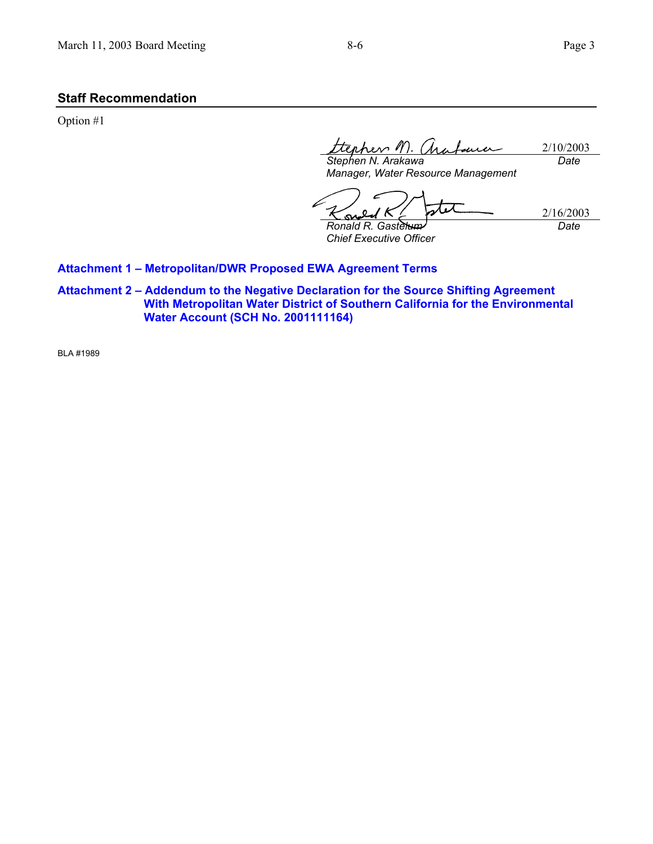## **Staff Recommendation**

Option #1

*Stephen N. Arakawa*  2/10/2003 ma *Date*

*Manager, Water Resource Management* 

スレス *Ronald R. Gastelum*  ĸ

*Chief Executive Officer* 

2/16/2003 *Date*

#### **Attachment 1 – Metropolitan/DWR Proposed EWA Agreement Terms**

**Attachment 2 – Addendum to the Negative Declaration for the Source Shifting Agreement With Metropolitan Water District of Southern California for the Environmental Water Account (SCH No. 2001111164)** 

BLA #1989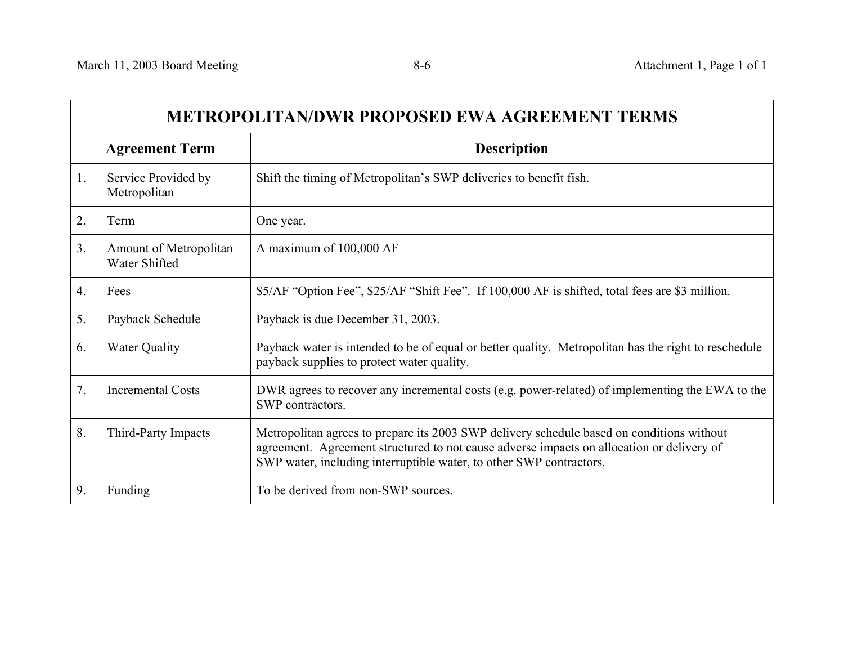$\Gamma$ 

 $\overline{\phantom{0}}$ 

| <b>METROPOLITAN/DWR PROPOSED EWA AGREEMENT TERMS</b> |                                         |                                                                                                                                                                                                                                                               |
|------------------------------------------------------|-----------------------------------------|---------------------------------------------------------------------------------------------------------------------------------------------------------------------------------------------------------------------------------------------------------------|
|                                                      | <b>Agreement Term</b>                   | <b>Description</b>                                                                                                                                                                                                                                            |
| 1.                                                   | Service Provided by<br>Metropolitan     | Shift the timing of Metropolitan's SWP deliveries to benefit fish.                                                                                                                                                                                            |
| 2.                                                   | Term                                    | One year.                                                                                                                                                                                                                                                     |
| 3 <sub>1</sub>                                       | Amount of Metropolitan<br>Water Shifted | A maximum of 100,000 AF                                                                                                                                                                                                                                       |
| 4.                                                   | Fees                                    | \$5/AF "Option Fee", \$25/AF "Shift Fee". If 100,000 AF is shifted, total fees are \$3 million.                                                                                                                                                               |
| 5.                                                   | Payback Schedule                        | Payback is due December 31, 2003.                                                                                                                                                                                                                             |
| 6.                                                   | <b>Water Quality</b>                    | Payback water is intended to be of equal or better quality. Metropolitan has the right to reschedule<br>payback supplies to protect water quality.                                                                                                            |
| 7 <sub>1</sub>                                       | <b>Incremental Costs</b>                | DWR agrees to recover any incremental costs (e.g. power-related) of implementing the EWA to the<br>SWP contractors.                                                                                                                                           |
| 8.                                                   | Third-Party Impacts                     | Metropolitan agrees to prepare its 2003 SWP delivery schedule based on conditions without<br>agreement. Agreement structured to not cause adverse impacts on allocation or delivery of<br>SWP water, including interruptible water, to other SWP contractors. |
| 9.                                                   | Funding                                 | To be derived from non-SWP sources.                                                                                                                                                                                                                           |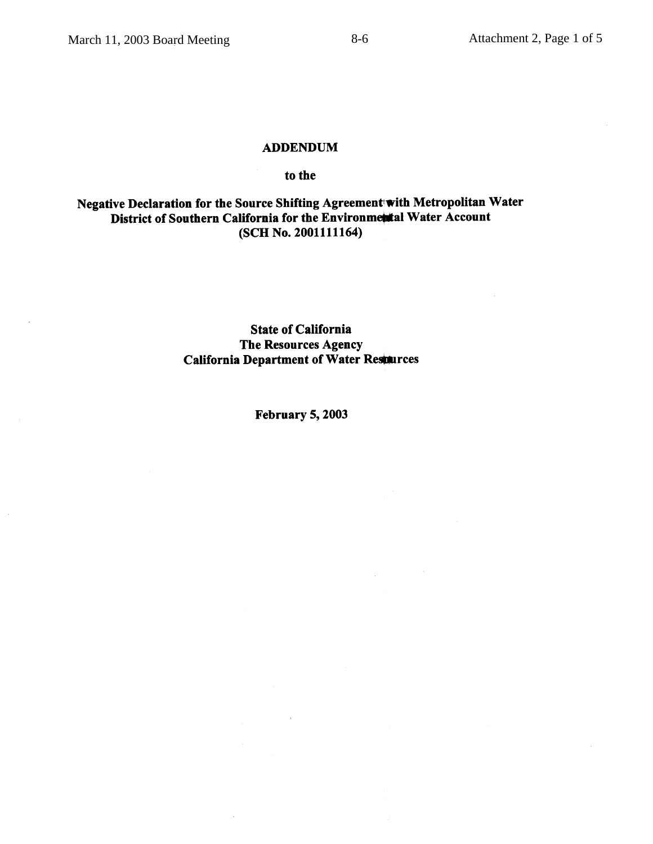### **ADDENDUM**

#### to the

## Negative Declaration for the Source Shifting Agreement with Metropolitan Water District of Southern California for the Environmental Water Account (SCH No. 2001111164)

**State of California** The Resources Agency **California Department of Water Restaurces** 

**February 5, 2003**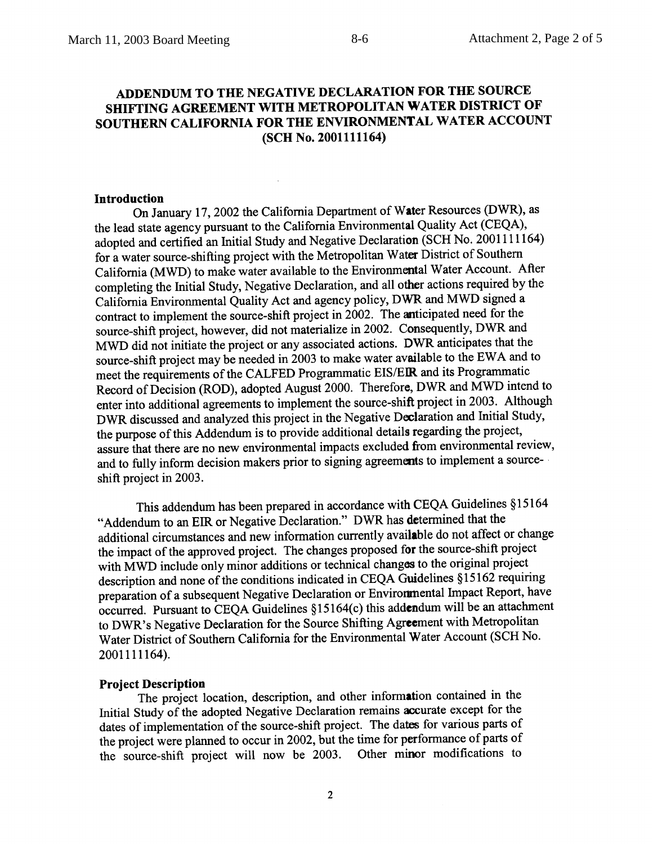## ADDENDUM TO THE NEGATIVE DECLARATION FOR THE SOURCE SHIFTING AGREEMENT WITH METROPOLITAN WATER DISTRICT OF SOUTHERN CALIFORNIA FOR THE ENVIRONMENTAL WATER ACCOUNT (SCH No. 2001111164)

 $8-6$ 

#### **Introduction**

On January 17, 2002 the California Department of Water Resources (DWR), as the lead state agency pursuant to the California Environmental Quality Act (CEQA), adopted and certified an Initial Study and Negative Declaration (SCH No. 2001111164) for a water source-shifting project with the Metropolitan Water District of Southern California (MWD) to make water available to the Environmental Water Account. After completing the Initial Study, Negative Declaration, and all other actions required by the California Environmental Quality Act and agency policy, DWR and MWD signed a contract to implement the source-shift project in 2002. The anticipated need for the source-shift project, however, did not materialize in 2002. Consequently, DWR and MWD did not initiate the project or any associated actions. DWR anticipates that the source-shift project may be needed in 2003 to make water available to the EWA and to meet the requirements of the CALFED Programmatic EIS/EIR and its Programmatic Record of Decision (ROD), adopted August 2000. Therefore, DWR and MWD intend to enter into additional agreements to implement the source-shift project in 2003. Although DWR discussed and analyzed this project in the Negative Declaration and Initial Study, the purpose of this Addendum is to provide additional details regarding the project, assure that there are no new environmental impacts excluded from environmental review, and to fully inform decision makers prior to signing agreements to implement a sourceshift project in 2003.

This addendum has been prepared in accordance with CEQA Guidelines §15164 "Addendum to an EIR or Negative Declaration." DWR has determined that the additional circumstances and new information currently available do not affect or change the impact of the approved project. The changes proposed for the source-shift project with MWD include only minor additions or technical changes to the original project description and none of the conditions indicated in CEQA Guidelines §15162 requiring preparation of a subsequent Negative Declaration or Environmental Impact Report, have occurred. Pursuant to CEQA Guidelines §15164(c) this addendum will be an attachment to DWR's Negative Declaration for the Source Shifting Agreement with Metropolitan Water District of Southern California for the Environmental Water Account (SCH No. 2001111164).

## **Project Description**

The project location, description, and other information contained in the Initial Study of the adopted Negative Declaration remains accurate except for the dates of implementation of the source-shift project. The dates for various parts of the project were planned to occur in 2002, but the time for performance of parts of the source-shift project will now be 2003. Other minor modifications to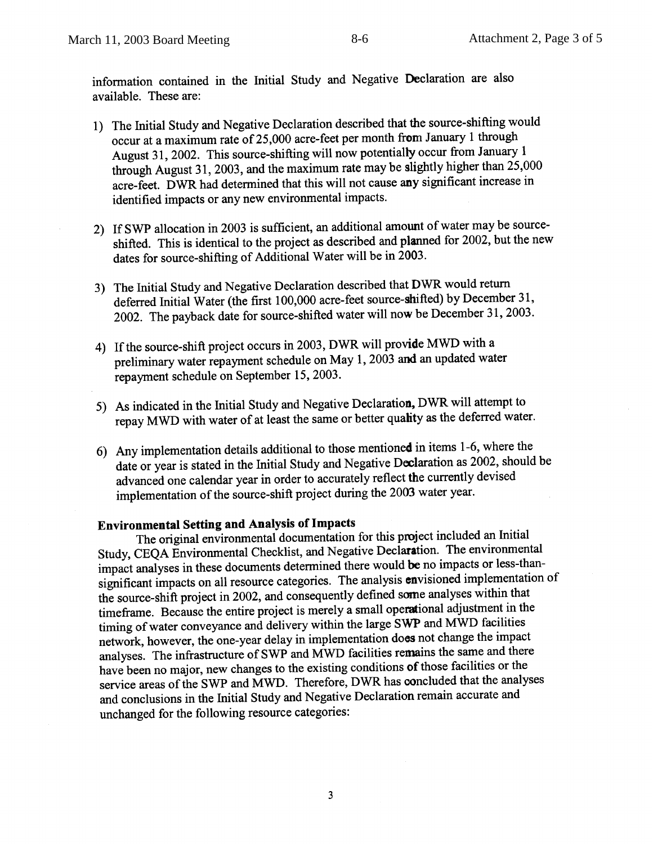information contained in the Initial Study and Negative Declaration are also available. These are:

- 1) The Initial Study and Negative Declaration described that the source-shifting would occur at a maximum rate of 25,000 acre-feet per month from January 1 through August 31, 2002. This source-shifting will now potentially occur from January 1 through August 31, 2003, and the maximum rate may be slightly higher than 25,000 acre-feet. DWR had determined that this will not cause any significant increase in identified impacts or any new environmental impacts.
- 2) If SWP allocation in 2003 is sufficient, an additional amount of water may be sourceshifted. This is identical to the project as described and planned for 2002, but the new dates for source-shifting of Additional Water will be in 2003.
- 3) The Initial Study and Negative Declaration described that DWR would return deferred Initial Water (the first 100,000 acre-feet source-shifted) by December 31, 2002. The payback date for source-shifted water will now be December 31, 2003.
- 4) If the source-shift project occurs in 2003, DWR will provide MWD with a preliminary water repayment schedule on May 1, 2003 and an updated water repayment schedule on September 15, 2003.
- 5) As indicated in the Initial Study and Negative Declaration, DWR will attempt to repay MWD with water of at least the same or better quality as the deferred water.
- 6) Any implementation details additional to those mentioned in items 1-6, where the date or year is stated in the Initial Study and Negative Declaration as 2002, should be advanced one calendar year in order to accurately reflect the currently devised implementation of the source-shift project during the 2003 water year.

## **Environmental Setting and Analysis of Impacts**

The original environmental documentation for this project included an Initial Study, CEQA Environmental Checklist, and Negative Declaration. The environmental impact analyses in these documents determined there would be no impacts or less-thansignificant impacts on all resource categories. The analysis envisioned implementation of the source-shift project in 2002, and consequently defined some analyses within that timeframe. Because the entire project is merely a small operational adjustment in the timing of water conveyance and delivery within the large SWP and MWD facilities network, however, the one-year delay in implementation does not change the impact analyses. The infrastructure of SWP and MWD facilities remains the same and there have been no major, new changes to the existing conditions of those facilities or the service areas of the SWP and MWD. Therefore, DWR has concluded that the analyses and conclusions in the Initial Study and Negative Declaration remain accurate and unchanged for the following resource categories: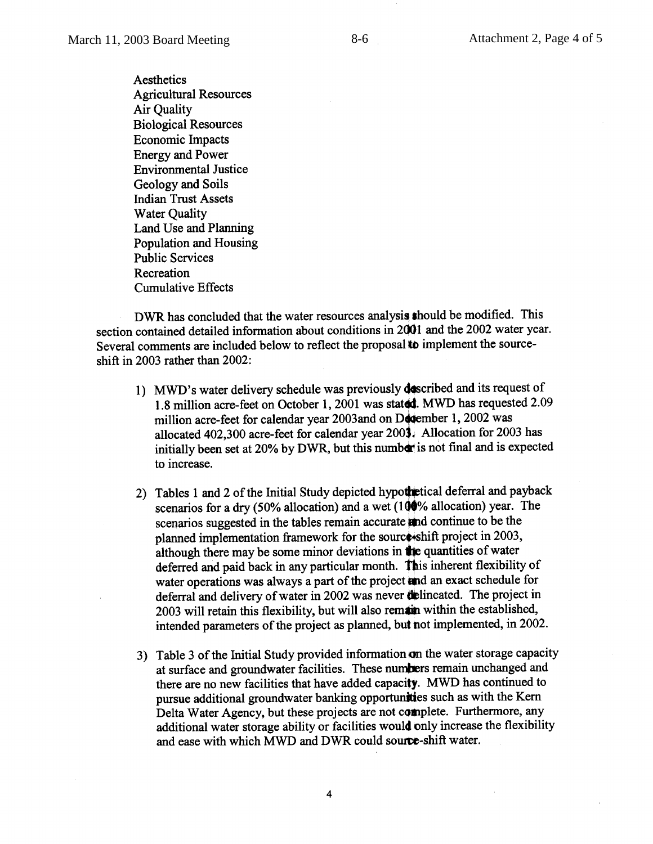Aesthetics **Agricultural Resources Air Quality Biological Resources Economic Impacts Energy and Power Environmental Justice** Geology and Soils **Indian Trust Assets Water Ouality** Land Use and Planning Population and Housing **Public Services** Recreation **Cumulative Effects** 

DWR has concluded that the water resources analysis should be modified. This section contained detailed information about conditions in 2001 and the 2002 water year. Several comments are included below to reflect the proposal to implement the sourceshift in 2003 rather than  $2002$ :

- 1) MWD's water delivery schedule was previously described and its request of 1.8 million acre-feet on October 1, 2001 was stated. MWD has requested 2.09 million acre-feet for calendar year 2003and on December 1, 2002 was allocated 402,300 acre-feet for calendar year 2003. Allocation for 2003 has initially been set at 20% by DWR, but this number is not final and is expected to increase.
- 2) Tables 1 and 2 of the Initial Study depicted hypothetical deferral and payback scenarios for a dry (50% allocation) and a wet (100% allocation) year. The scenarios suggested in the tables remain accurate and continue to be the planned implementation framework for the source shift project in 2003, although there may be some minor deviations in the quantities of water deferred and paid back in any particular month. This inherent flexibility of water operations was always a part of the project and an exact schedule for deferral and delivery of water in 2002 was never delineated. The project in 2003 will retain this flexibility, but will also remain within the established, intended parameters of the project as planned, but not implemented, in 2002.
- 3) Table 3 of the Initial Study provided information on the water storage capacity at surface and groundwater facilities. These numbers remain unchanged and there are no new facilities that have added capacity. MWD has continued to pursue additional groundwater banking opportunities such as with the Kern Delta Water Agency, but these projects are not complete. Furthermore, any additional water storage ability or facilities would only increase the flexibility and ease with which MWD and DWR could source-shift water.

 $\overline{4}$